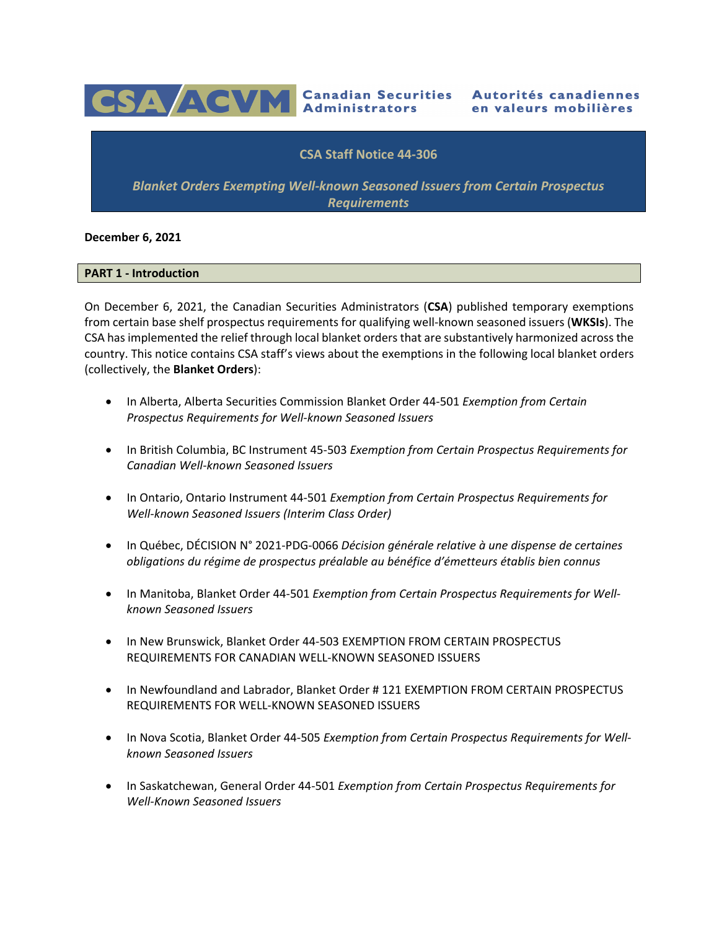

# **CSA Staff Notice 44-306**

*Blanket Orders Exempting Well-known Seasoned Issuers from Certain Prospectus Requirements*

## **December 6, 2021**

## **PART 1 - Introduction**

On December 6, 2021, the Canadian Securities Administrators (**CSA**) published temporary exemptions from certain base shelf prospectus requirements for qualifying well-known seasoned issuers (**WKSIs**). The CSA has implemented the relief through local blanket orders that are substantively harmonized across the country. This notice contains CSA staff's views about the exemptions in the following local blanket orders (collectively, the **Blanket Orders**):

- In Alberta, Alberta Securities Commission Blanket Order 44-501 *Exemption from Certain Prospectus Requirements for Well-known Seasoned Issuers*
- In British Columbia, BC Instrument 45-503 *Exemption from Certain Prospectus Requirements for Canadian Well-known Seasoned Issuers*
- In Ontario, Ontario Instrument 44-501 *Exemption from Certain Prospectus Requirements for Well-known Seasoned Issuers (Interim Class Order)*
- In Québec, DÉCISION N° 2021-PDG-0066 *Décision générale relative à une dispense de certaines obligations du régime de prospectus préalable au bénéfice d'émetteurs établis bien connus*
- In Manitoba, Blanket Order 44-501 *Exemption from Certain Prospectus Requirements for Wellknown Seasoned Issuers*
- In New Brunswick, Blanket Order 44-503 EXEMPTION FROM CERTAIN PROSPECTUS REQUIREMENTS FOR CANADIAN WELL-KNOWN SEASONED ISSUERS
- In Newfoundland and Labrador, Blanket Order # 121 EXEMPTION FROM CERTAIN PROSPECTUS REQUIREMENTS FOR WELL-KNOWN SEASONED ISSUERS
- In Nova Scotia, Blanket Order 44-505 *Exemption from Certain Prospectus Requirements for Wellknown Seasoned Issuers*
- In Saskatchewan, General Order 44-501 *Exemption from Certain Prospectus Requirements for Well-Known Seasoned Issuers*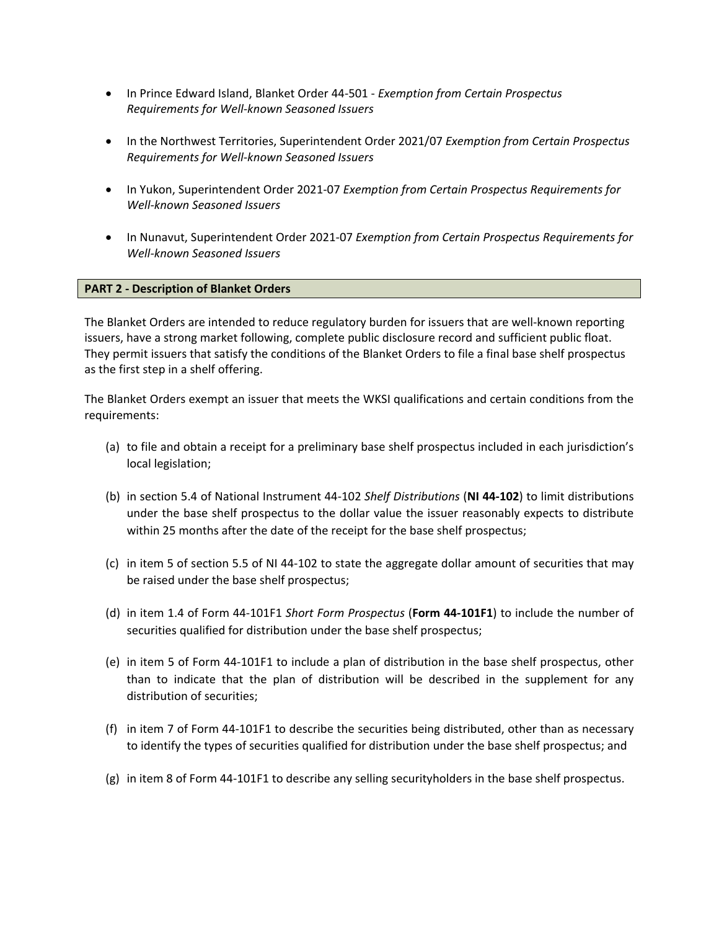- In Prince Edward Island, Blanket Order 44-501 *Exemption from Certain Prospectus Requirements for Well-known Seasoned Issuers*
- In the Northwest Territories, Superintendent Order 2021/07 *Exemption from Certain Prospectus Requirements for Well-known Seasoned Issuers*
- In Yukon, Superintendent Order 2021-07 *Exemption from Certain Prospectus Requirements for Well-known Seasoned Issuers*
- In Nunavut, Superintendent Order 2021-07 *Exemption from Certain Prospectus Requirements for Well-known Seasoned Issuers*

## **PART 2 - Description of Blanket Orders**

The Blanket Orders are intended to reduce regulatory burden for issuers that are well-known reporting issuers, have a strong market following, complete public disclosure record and sufficient public float. They permit issuers that satisfy the conditions of the Blanket Orders to file a final base shelf prospectus as the first step in a shelf offering.

The Blanket Orders exempt an issuer that meets the WKSI qualifications and certain conditions from the requirements:

- (a) to file and obtain a receipt for a preliminary base shelf prospectus included in each jurisdiction's local legislation;
- (b) in section 5.4 of National Instrument 44-102 *Shelf Distributions* (**NI 44-102**) to limit distributions under the base shelf prospectus to the dollar value the issuer reasonably expects to distribute within 25 months after the date of the receipt for the base shelf prospectus;
- (c) in item 5 of section 5.5 of NI 44-102 to state the aggregate dollar amount of securities that may be raised under the base shelf prospectus;
- (d) in item 1.4 of Form 44-101F1 *Short Form Prospectus* (**Form 44-101F1**) to include the number of securities qualified for distribution under the base shelf prospectus;
- (e) in item 5 of Form 44-101F1 to include a plan of distribution in the base shelf prospectus, other than to indicate that the plan of distribution will be described in the supplement for any distribution of securities;
- (f) in item 7 of Form 44-101F1 to describe the securities being distributed, other than as necessary to identify the types of securities qualified for distribution under the base shelf prospectus; and
- (g) in item 8 of Form 44-101F1 to describe any selling securityholders in the base shelf prospectus.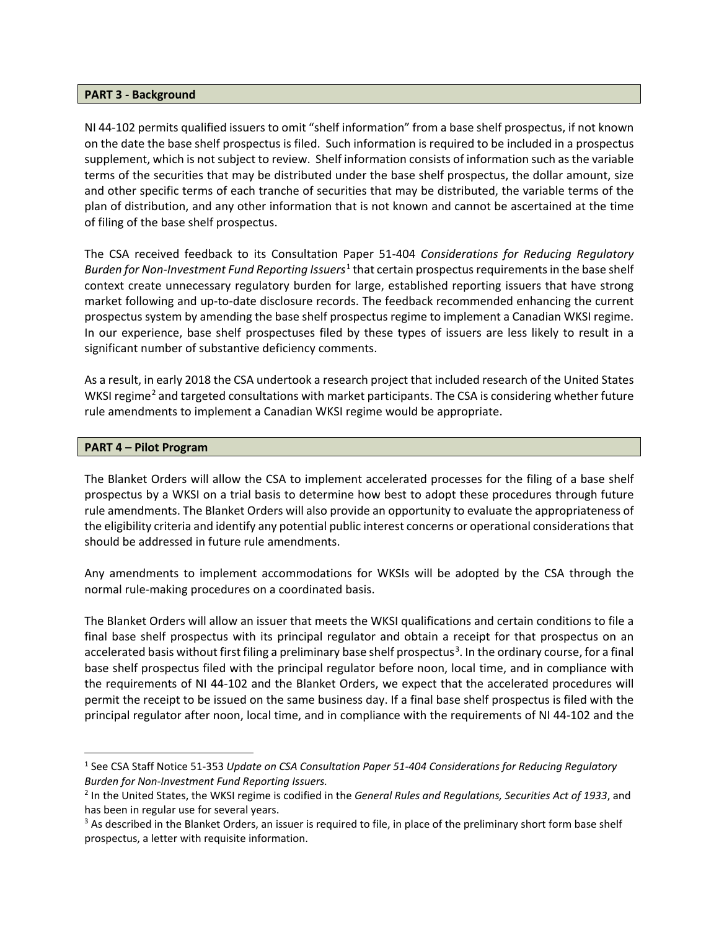## **PART 3 - Background**

NI 44-102 permits qualified issuers to omit "shelf information" from a base shelf prospectus, if not known on the date the base shelf prospectus is filed. Such information is required to be included in a prospectus supplement, which is not subject to review. Shelf information consists of information such as the variable terms of the securities that may be distributed under the base shelf prospectus, the dollar amount, size and other specific terms of each tranche of securities that may be distributed, the variable terms of the plan of distribution, and any other information that is not known and cannot be ascertained at the time of filing of the base shelf prospectus.

The CSA received feedback to its Consultation Paper 51-404 *Considerations for Reducing Regulatory Burden for Non-Investment Fund Reporting Issuers*[1](#page-2-0) that certain prospectus requirements in the base shelf context create unnecessary regulatory burden for large, established reporting issuers that have strong market following and up-to-date disclosure records. The feedback recommended enhancing the current prospectus system by amending the base shelf prospectus regime to implement a Canadian WKSI regime. In our experience, base shelf prospectuses filed by these types of issuers are less likely to result in a significant number of substantive deficiency comments.

As a result, in early 2018 the CSA undertook a research project that included research of the United States WKSI regime<sup>[2](#page-2-1)</sup> and targeted consultations with market participants. The CSA is considering whether future rule amendments to implement a Canadian WKSI regime would be appropriate.

## **PART 4 – Pilot Program**

The Blanket Orders will allow the CSA to implement accelerated processes for the filing of a base shelf prospectus by a WKSI on a trial basis to determine how best to adopt these procedures through future rule amendments. The Blanket Orders will also provide an opportunity to evaluate the appropriateness of the eligibility criteria and identify any potential public interest concerns or operational considerations that should be addressed in future rule amendments.

Any amendments to implement accommodations for WKSIs will be adopted by the CSA through the normal rule-making procedures on a coordinated basis.

The Blanket Orders will allow an issuer that meets the WKSI qualifications and certain conditions to file a final base shelf prospectus with its principal regulator and obtain a receipt for that prospectus on an accelerated basis without first filing a preliminary base shelf prospectus<sup>[3](#page-2-2)</sup>. In the ordinary course, for a final base shelf prospectus filed with the principal regulator before noon, local time, and in compliance with the requirements of NI 44-102 and the Blanket Orders, we expect that the accelerated procedures will permit the receipt to be issued on the same business day. If a final base shelf prospectus is filed with the principal regulator after noon, local time, and in compliance with the requirements of NI 44-102 and the

<span id="page-2-0"></span><sup>1</sup> See CSA Staff Notice 51-353 *Update on CSA Consultation Paper 51-404 Considerations for Reducing Regulatory Burden for Non-Investment Fund Reporting Issuers.*

<span id="page-2-1"></span><sup>2</sup> In the United States, the WKSI regime is codified in the *General Rules and Regulations, Securities Act of 1933*, and has been in regular use for several years.

<span id="page-2-2"></span><sup>&</sup>lt;sup>3</sup> As described in the Blanket Orders, an issuer is required to file, in place of the preliminary short form base shelf prospectus, a letter with requisite information.